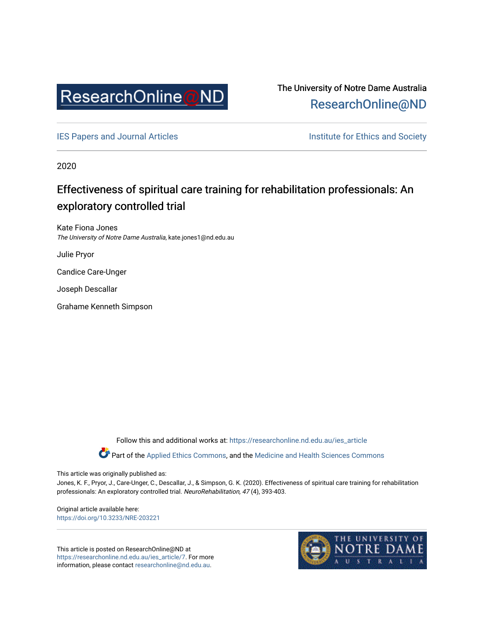

The University of Notre Dame Australia [ResearchOnline@ND](https://researchonline.nd.edu.au/) 

[IES Papers and Journal Articles](https://researchonline.nd.edu.au/ies_article) **Institute for Ethics and Society** Institute for Ethics and Society

2020

# Effectiveness of spiritual care training for rehabilitation professionals: An exploratory controlled trial

Kate Fiona Jones The University of Notre Dame Australia, kate.jones1@nd.edu.au

Julie Pryor

Candice Care-Unger

Joseph Descallar

Grahame Kenneth Simpson

Follow this and additional works at: [https://researchonline.nd.edu.au/ies\\_article](https://researchonline.nd.edu.au/ies_article?utm_source=researchonline.nd.edu.au%2Fies_article%2F7&utm_medium=PDF&utm_campaign=PDFCoverPages) 

Part of the [Applied Ethics Commons](http://network.bepress.com/hgg/discipline/1392?utm_source=researchonline.nd.edu.au%2Fies_article%2F7&utm_medium=PDF&utm_campaign=PDFCoverPages), and the [Medicine and Health Sciences Commons](http://network.bepress.com/hgg/discipline/648?utm_source=researchonline.nd.edu.au%2Fies_article%2F7&utm_medium=PDF&utm_campaign=PDFCoverPages)

This article was originally published as:

Jones, K. F., Pryor, J., Care-Unger, C., Descallar, J., & Simpson, G. K. (2020). Effectiveness of spiritual care training for rehabilitation professionals: An exploratory controlled trial. NeuroRehabilitation, 47 (4), 393-403.

Original article available here: <https://doi.org/10.3233/NRE-203221>

This article is posted on ResearchOnline@ND at [https://researchonline.nd.edu.au/ies\\_article/7.](https://researchonline.nd.edu.au/ies_article/7) For more information, please contact [researchonline@nd.edu.au.](mailto:researchonline@nd.edu.au)

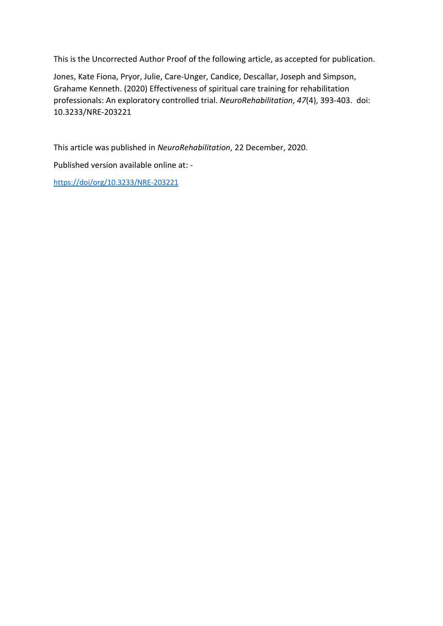This is the Uncorrected Author Proof of the following article, as accepted for publication.

Jones, Kate Fiona, Pryor, Julie, Care-Unger, Candice, Descallar, Joseph and Simpson, Grahame Kenneth. (2020) Effectiveness of spiritual care training for rehabilitation professionals: An exploratory controlled trial. *NeuroRehabilitation*, *47*(4), 393-403. doi: 10.3233/NRE-203221

This article was published in *NeuroRehabilitation*, 22 December, 2020.

Published version available online at: -

<https://doi/org/10.3233/NRE-203221>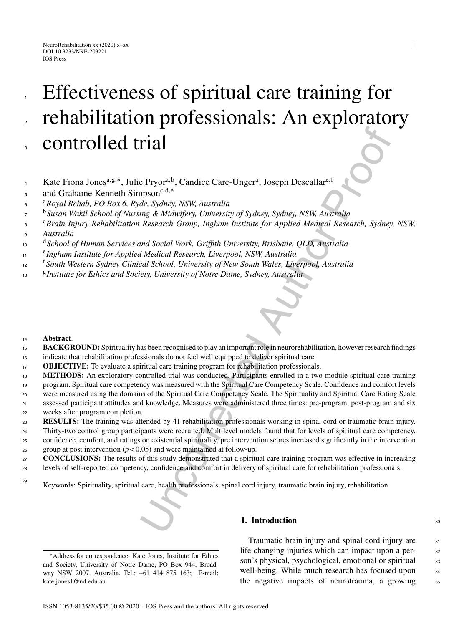# **T1 (21)**<br> **EPACATE CONSTRANT CONSTRANT CONSTRANT CONSTRANT (EXECUTED AUTOMOTIC PROPRETENT)**<br> **EPACATELY, NOW ANOTHOR CONSTRANT CONSTRANT AND THE CONSTRANT AND AN ALT AND ALT AND ARROW AND AN ALT AUTOMOTIC RESEARCT GROUP.** Effectiveness of spiritual care training for rehabilitation professionals: An exploratory controlled trial 1 2 3

- Kate Fiona Jones<sup>a,g,∗</sup>, Julie Pryor<sup>a,b</sup>, Candice Care-Unger<sup>a</sup>, Joseph Descallar<sup>e, f</sup> 4
- and Grahame Kenneth Simpson $c,d,e$ 5
- <sup>a</sup> <sup>6</sup> *Royal Rehab, PO Box 6, Ryde, Sydney, NSW, Australia*
- <sup>b</sup> <sup>7</sup> *Susan Wakil School of Nursing & Midwifery, University of Sydney, Sydney, NSW, Australia*
- <sup>c</sup>*Brain Injury Rehabilitation Research Group, Ingham Institute for Applied Medical Research, Sydney, NSW,* 8
- *Australia*  $\alpha$
- <sup>d</sup> <sup>10</sup> *School of Human Services and Social Work, Griffith University, Brisbane, QLD, Australia*
- <sup>e</sup> <sup>11</sup> *Ingham Institute for Applied Medical Research, Liverpool, NSW, Australia*
- <sup>f</sup> <sup>12</sup> *South Western Sydney Clinical School, University of New South Wales, Liverpool, Australia*
- <sup>13</sup> <sup>E</sup>Institute for Ethics and Society, University of Notre Dame, Sydney, Australia

#### <sup>14</sup> **Abstract**.

- **BACKGROUND:** Spirituality has been recognised to play an important role in neurorehabilitation, however research findings 15
- indicate that rehabilitation professionals do not feel well equipped to deliver spiritual care. 16
- 17 **OBJECTIVE:** To evaluate a spiritual care training program for rehabilitation professionals.
- **METHODS:** An exploratory controlled trial was conducted. Participants enrolled in a two-module spiritual care training 18
- program. Spiritual care competency was measured with the Spiritual Care Competency Scale. Confidence and comfort levels 19
- were measured using the domains of the Spiritual Care Competency Scale. The Spirituality and Spiritual Care Rating Scale 20
- assessed participant attitudes and knowledge. Measures were administered three times: pre-program, post-program and six  $21$
- weeks after program completion. 22
- **RESULTS:** The training was attended by 41 rehabilitation professionals working in spinal cord or traumatic brain injury. 23
- Thirty-two control group participants were recruited. Multilevel models found that for levels of spiritual care competency, 24
- confidence, comfort, and ratings on existential spirituality, pre intervention scores increased significantly in the intervention 25
- group at post intervention  $(p < 0.05)$  and were maintained at follow-up. 26
- **CONCLUSIONS:** The results of this study demonstrated that a spiritual care training program was effective in increasing 27
- levels of self-reported competency, confidence and comfort in delivery of spiritual care for rehabilitation professionals. 28
- <sup>29</sup> Keywords: Spirituality, spiritual care, health professionals, spinal cord injury, traumatic brain injury, rehabilitation

# **1. Introduction** 30

Traumatic brain injury and spinal cord injury are <sup>31</sup> life changing injuries which can impact upon a per-<br>32 son's physical, psychological, emotional or spiritual 33 well-being. While much research has focused upon 34 the negative impacts of neurotrauma, a growing  $\frac{35}{2}$ 

<sup>∗</sup>Address for correspondence: Kate Jones, Institute for Ethics and Society, University of Notre Dame, PO Box 944, Broadway NSW 2007. Australia. Tel.: +61 414 875 163; E-mail: kate.jones1@nd.edu.au.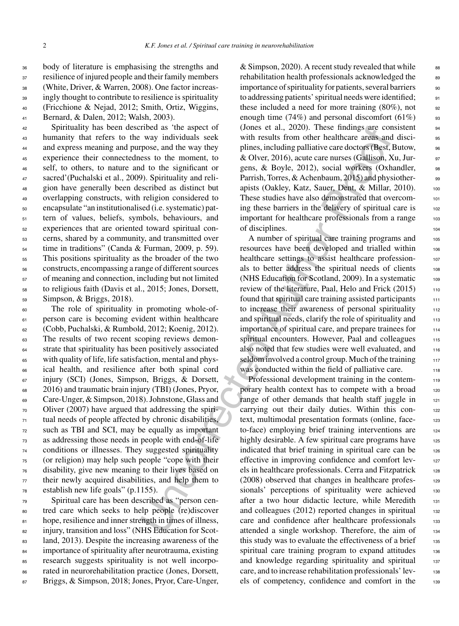body of literature is emphasising the strengths and resilience of injured people and their family members (White, Driver, & Warren, 2008). One factor increas- ingly thought to contribute to resilience is spirituality (Fricchione & Nejad, 2012; Smith, Ortiz, Wiggins,

<sup>41</sup> Bernard, & Dalen, 2012; Walsh, 2003).

 Spirituality has been described as 'the aspect of humanity that refers to the way individuals seek and express meaning and purpose, and the way they experience their connectedness to the moment, to self, to others, to nature and to the significant or sacred'(Puchalski et al., 2009). Spirituality and reli- gion have generally been described as distinct but overlapping constructs, with religion considered to encapsulate "an institutionalised (i.e. systematic) pat- tern of values, beliefs, symbols, behaviours, and experiences that are oriented toward spiritual con- cerns, shared by a community, and transmitted over time in traditions" (Canda & Furman, 2009, p. 59). This positions spirituality as the broader of the two constructs, encompassing a range of different sources of meaning and connection, including but not limited to religious faith (Davis et al., 2015; Jones, Dorsett, Simpson, & Briggs, 2018).

 The role of spirituality in promoting whole-of- person care is becoming evident within healthcare (Cobb, Puchalski, & Rumbold, 2012; Koenig, 2012). The results of two recent scoping reviews demon-<sup>64</sup> strate that spirituality has been positively associated with quality of life, life satisfaction, mental and phys- ical health, and resilience after both spinal cord injury (SCI) (Jones, Simpson, Briggs, & Dorsett, 2016) and traumatic brain injury (TBI) (Jones, Pryor, Care-Unger, & Simpson, 2018). Johnstone, Glass and Oliver (2007) have argued that addressing the spiri- tual needs of people affected by chronic disabilities, such as TBI and SCI, may be equally as important as addressing those needs in people with end-of-life conditions or illnesses. They suggested spirituality (or religion) may help such people "cope with their disability, give new meaning to their lives based on their newly acquired disabilities, and help them to establish new life goals" (p.1155).

 Spiritual care has been described as "person cen- tred care which seeks to help people (re)discover hope, resilience and inner strength in times of illness, 82 injury, transition and loss" (NHS Education for Scot-83 land, 2013). Despite the increasing awareness of the importance of spirituality after neurotrauma, existing research suggests spirituality is not well incorpo- rated in neurorehabilitation practice (Jones, Dorsett, Briggs, & Simpson, 2018; Jones, Pryor, Care-Unger, & Simpson, 2020). A recent study revealed that while  $\frac{88}{8}$ rehabilitation health professionals acknowledged the 89  $im$  importance of spirituality for patients, several barriers  $\frac{1}{2}$ to addressing patients' spiritual needs were identified;  $\qquad \qquad$ 91 these included a need for more training  $(80\%)$ , not  $\qquad$  92 enough time (74%) and personal discomfort (61%)  $\frac{1}{2}$ (Jones et al., 2020). These findings are consistent <sup>94</sup> with results from other healthcare areas and disciplines, including palliative care doctors (Best, Butow, <sup>96</sup> & Olver, 2016), acute care nurses (Gallison, Xu, Jurgens, & Boyle, 2012), social workers (Oxhandler, <sup>98</sup> Parrish, Torres, & Achenbaum, 2015) and physiother- 99 apists (Oakley, Katz, Sauer, Dent, & Millar, 2010). 100 These studies have also demonstrated that overcoming these barriers in the delivery of spiritual care is 102 important for healthcare professionals from a range 103 of disciplines. <sup>104</sup>

A number of spiritual care training programs and 105 resources have been developed and trialled within 106 healthcare settings to assist healthcare professionals to better address the spiritual needs of clients 108 (NHS Education for Scotland, 2009). In a systematic  $10^{9}$ review of the literature, Paal, Helo and Frick (2015) 110 found that spiritual care training assisted participants 111 to increase their awareness of personal spirituality 112 and spiritual needs, clarify the role of spirituality and 113 importance of spiritual care, and prepare trainees for  $114$ spiritual encounters. However, Paal and colleagues 115 also noted that few studies were well evaluated, and 116 seldom involved a control group. Much of the training 117 was conducted within the field of palliative care. 118

rived as the aspect of the conditional est. (2000). These mathes or the approximate way individuals seek with results from other helalthcare areas and the way they hines, including palliative care doctors (Beet, 2001), So Professional development training in the contemporary health context has to compete with a broad 120 range of other demands that health staff juggle in 121 carrying out their daily duties. Within this context, multimodal presentation formats (online, faceto-face) employing brief training interventions are 124 highly desirable. A few spiritual care programs have  $125$ indicated that brief training in spiritual care can be  $126$ effective in improving confidence and comfort levels in healthcare professionals. Cerra and Fitzpatrick 128 (2008) observed that changes in healthcare profes- <sup>129</sup> sionals' perceptions of spirituality were achieved 130 after a two hour didactic lecture, while Meredith 131 and colleagues  $(2012)$  reported changes in spiritual  $132$ care and confidence after healthcare professionals 133 attended a single workshop. Therefore, the aim of 134 this study was to evaluate the effectiveness of a brief 135 spiritual care training program to expand attitudes 136 and knowledge regarding spirituality and spiritual 137 care, and to increase rehabilitation professionals' levels of competency, confidence and comfort in the 139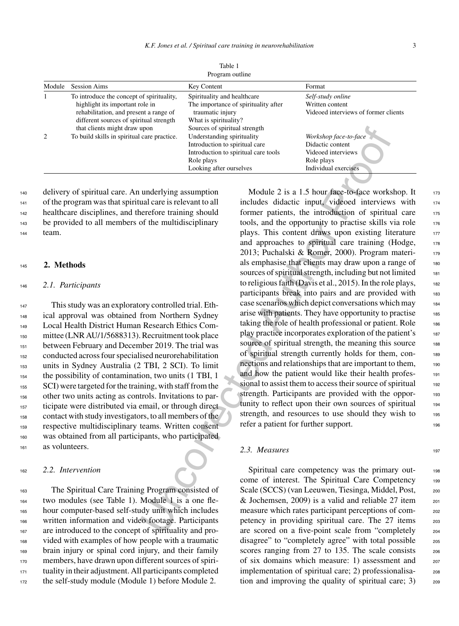|        |                                             | $100$ secured by $100$               |                                      |  |  |
|--------|---------------------------------------------|--------------------------------------|--------------------------------------|--|--|
| Module | <b>Session Aims</b>                         | Key Content                          | Format                               |  |  |
|        | To introduce the concept of spirituality,   | Spirituality and healthcare          | Self-study online                    |  |  |
|        | highlight its important role in             | The importance of spirituality after | Written content                      |  |  |
|        | rehabilitation, and present a range of      | traumatic injury                     | Videoed interviews of former clients |  |  |
|        | different sources of spiritual strength     | What is spirituality?                |                                      |  |  |
|        | that clients might draw upon                | Sources of spiritual strength        |                                      |  |  |
|        | To build skills in spiritual care practice. | Understanding spirituality           | Workshop face-to-face                |  |  |
|        |                                             | Introduction to spiritual care       | Didactic content                     |  |  |
|        |                                             | Introduction to spiritual care tools | Videoed interviews                   |  |  |
|        |                                             | Role plays                           | Role plays                           |  |  |
|        |                                             | Looking after ourselves              | Individual exercises                 |  |  |

Table 1 Program outline

<sup>140</sup> delivery of spiritual care. An underlying assumption 141 of the program was that spiritual care is relevant to all <sup>142</sup> healthcare disciplines, and therefore training should <sup>143</sup> be provided to all members of the multidisciplinary <sup>144</sup> team.

#### <sup>145</sup> **2. Methods**

#### <sup>146</sup> *2.1. Participants*

 This study was an exploratory controlled trial. Eth- ical approval was obtained from Northern Sydney Local Health District Human Research Ethics Com- mittee (LNR AU/1/5688313). Recruitment took place 151 between February and December 2019. The trial was conducted across four specialised neurorehabilitation units in Sydney Australia (2 TBI, 2 SCI). To limit the possibility of contamination, two units (1 TBI, 1 SCI) were targeted for the training, with staff from the other two units acting as controls. Invitations to par- ticipate were distributed via email, or through direct contact with study investigators, to all members of the respective multidisciplinary teams. Written consent was obtained from all participants, who participated as volunteers.

#### <sup>162</sup> *2.2. Intervention*

 The Spiritual Care Training Program consisted of two modules (see Table 1). Module 1 is a one fle- hour computer-based self-study unit which includes written information and video footage. Participants are introduced to the concept of spirituality and pro- vided with examples of how people with a traumatic brain injury or spinal cord injury, and their family members, have drawn upon different sources of spiri- tuality in their adjustment. All participants completed the self-study module (Module 1) before Module 2.

some a Sources of spiritual strength. The same spiritual strength and the place the properties the properties consider the properties are properties to consider the sole play and properties are properties as the propertie Module 2 is a 1.5 hour face-to-face workshop. It  $173$ includes didactic input, videoed interviews with <sup>174</sup> former patients, the introduction of spiritual care 175 tools, and the opportunity to practise skills via role 176 plays. This content draws upon existing literature 177 and approaches to spiritual care training (Hodge, 178 2013; Puchalski & Romer, 2000). Program materi- <sup>179</sup> als emphasise that clients may draw upon a range of 180 sources of spiritual strength, including but not limited 181 to religious faith (Davis et al., 2015). In the role plays,  $182$ participants break into pairs and are provided with 183 case scenarios which depict conversations which may <sup>184</sup> arise with patients. They have opportunity to practise 185 taking the role of health professional or patient. Role 186 play practice incorporates exploration of the patient's 187 source of spiritual strength, the meaning this source 188 of spiritual strength currently holds for them, con- <sup>189</sup> nections and relationships that are important to them, 190 and how the patient would like their health profes- <sup>191</sup> sional to assist them to access their source of spiritual 192 strength. Participants are provided with the oppor-<br>193 tunity to reflect upon their own sources of spiritual 194 strength, and resources to use should they wish to 195 refer a patient for further support.

#### 2.3. *Measures* 197

Spiritual care competency was the primary outcome of interest. The Spiritual Care Competency 199 Scale (SCCS) (van Leeuwen, Tiesinga, Middel, Post, 200 & Jochemsen, 2009) is a valid and reliable 27 item  $201$ measure which rates participant perceptions of competency in providing spiritual care. The 27 items 203 are scored on a five-point scale from "completely <sup>204</sup> disagree" to "completely agree" with total possible 205 scores ranging from 27 to 135. The scale consists 206 of six domains which measure: 1) assessment and <sup>207</sup> implementation of spiritual care; 2) professionalisa- <sup>208</sup> tion and improving the quality of spiritual care;  $3$   $_{208}$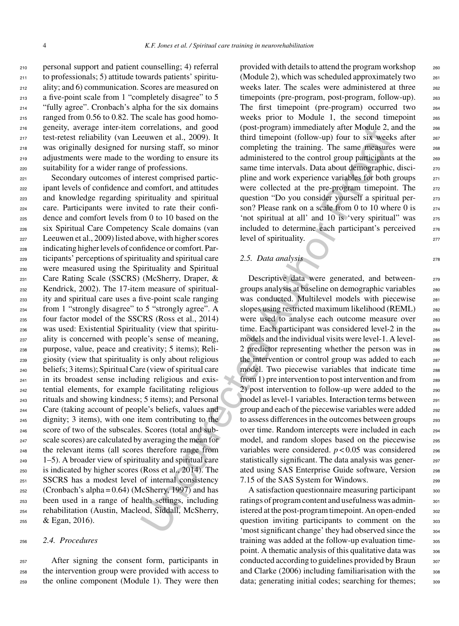personal support and patient counselling; 4) referral to professionals; 5) attitude towards patients' spiritu- ality; and 6) communication. Scores are measured on a five-point scale from 1 "completely disagree" to 5 <sup>214</sup> "fully agree". Cronbach's alpha for the six domains 215 ranged from 0.56 to 0.82. The scale has good homo- geneity, average inter-item correlations, and good test-retest reliability (van Leeuwen et al., 2009). It was originally designed for nursing staff, so minor 219 adjustments were made to the wording to ensure its suitability for a wider range of professions.

 Secondary outcomes of interest comprised partic- ipant levels of confidence and comfort, and attitudes and knowledge regarding spirituality and spiritual care. Participants were invited to rate their confi- dence and comfort levels from 0 to 10 based on the six Spiritual Care Competency Scale domains (van Leeuwen et al., 2009) listed above, with higher scores indicating higher levels of confidence or comfort. Par- ticipants' perceptions of spirituality and spiritual care were measured using the Spirituality and Spiritual Care Rating Scale (SSCRS) (McSherry, Draper, & Kendrick, 2002). The 17-item measure of spiritual- ity and spiritual care uses a five-point scale ranging from 1 "strongly disagree" to 5 "strongly agree". A four factor model of the SSCRS (Ross et al., 2014) was used: Existential Spirituality (view that spiritu- ality is concerned with people's sense of meaning, purpose, value, peace and creativity; 5 items); Reli- giosity (view that spirituality is only about religious beliefs; 3 items); Spiritual Care (view of spiritual care in its broadest sense including religious and exis- tential elements, for example facilitating religious rituals and showing kindness; 5 items); and Personal Care (taking account of people's beliefs, values and dignity; 3 items), with one item contributing to the score of two of the subscales. Scores (total and sub- scale scores) are calculated by averaging the mean for the relevant items (all scores therefore range from  $_{249}$  1–5). A broader view of spirituality and spiritual care is indicated by higher scores (Ross et al., 2014). The SSCRS has a modest level of internal consistency  $_{252}$  (Cronbach's alpha = 0.64) (McSherry, 1997) and has been used in a range of health settings, including rehabilitation (Austin, Macleod, Siddall, McSherry,  $255 \&$  Egan, 2016).

#### <sup>256</sup> *2.4. Procedures*

<sup>257</sup> After signing the consent form, participants in <sup>258</sup> the intervention group were provided with access to <sup>259</sup> the online component (Module 1). They were then provided with details to attend the program workshop 260 (Module 2), which was scheduled approximately two  $_{261}$ weeks later. The scales were administered at three 262 timepoints (pre-program, post-program, follow-up). 263 The first timepoint (pre-program) occurred two  $264$ weeks prior to Module 1, the second timepoint 265 (post-program) immediately after Module 2, and the <sup>266</sup> third timepoint (follow-up) four to six weeks after  $267$ completing the training. The same measures were 268 administered to the control group participants at the 269 same time intervals. Data about demographic, discipline and work experience variables for both groups 271 were collected at the pre-program timepoint. The  $272$ question "Do you consider yourself a spiritual per-<br><sub>273</sub> son? Please rank on a scale from 0 to 10 where 0 is 274 'not spiritual at all' and 10 is 'very spiritual" was <sup>275</sup> included to determine each participant's perceived 276 level of spirituality.

2.5. Data analysis 278

correlations, and good (post-program) immediately after Module 2,<br>
interactions and good (post-program) immediately after Module 2,<br>
nursing staff, so minor completing the training. The same measure<br>interacts and any domi Descriptive data were generated, and betweengroups analysis at baseline on demographic variables <sup>280</sup> was conducted. Multilevel models with piecewise 281 slopes using restricted maximum likelihood (REML) 282 were used to analyse each outcome measure over 283 time. Each participant was considered level-2 in the 284 models and the individual visits were level-1. A level-<br>285 2 predictor representing whether the person was in <sup>286</sup> the intervention or control group was added to each 287 model. Two piecewise variables that indicate time 288 from 1) pre intervention to post intervention and from  $289$ 2) post intervention to follow-up were added to the 290 model as level-1 variables. Interaction terms between <sub>291</sub> group and each of the piecewise variables were added <sup>292</sup> to assess differences in the outcomes between groups 293 over time. Random intercepts were included in each <sup>294</sup> model, and random slopes based on the piecewise 295 variables were considered.  $p < 0.05$  was considered  $296$ statistically significant. The data analysis was gener-<br>297 ated using SAS Enterprise Guide software, Version <sup>298</sup> 7.15 of the SAS System for Windows.

A satisfaction questionnaire measuring participant 300 ratings of program content and usefulness was administered at the post-program timepoint. An open-ended 302 question inviting participants to comment on the 303 'most significant change' they had observed since the <sup>304</sup> training was added at the follow-up evaluation time-<br>sos point. A thematic analysis of this qualitative data was  $306$ conducted according to guidelines provided by Braun 307 and Clarke (2006) including familiarisation with the 308 data; generating initial codes; searching for themes;  $309$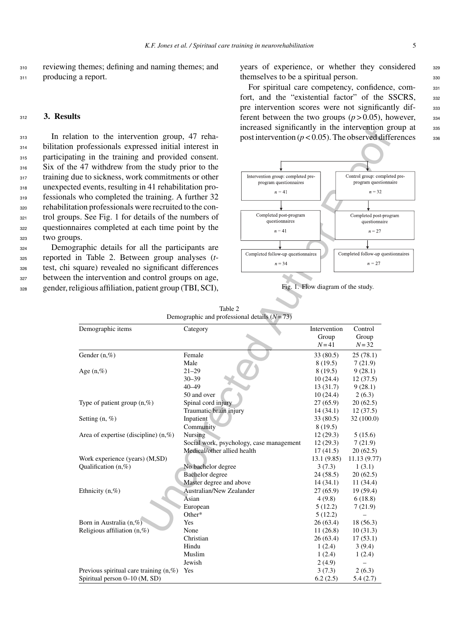<sup>310</sup> reviewing themes; defining and naming themes; and <sup>311</sup> producing a report.

# <sup>312</sup> **3. Results**

 In relation to the intervention group, 47 reha- bilitation professionals expressed initial interest in 315 participating in the training and provided consent. 316 Six of the 47 withdrew from the study prior to the 317 training due to sickness, work commitments or other unexpected events, resulting in 41 rehabilitation pro- fessionals who completed the training. A further 32 rehabilitation professionals were recruited to the con- trol groups. See Fig. 1 for details of the numbers of questionnaires completed at each time point by the two groups.

 Demographic details for all the participants are reported in Table 2. Between group analyses (*t*- test, chi square) revealed no significant differences <sup>327</sup> between the intervention and control groups on age, gender, religious affiliation, patient group (TBI, SCI),

years of experience, or whether they considered 329 themselves to be a spiritual person. 330

For spiritual care competency, confidence, com-<br>331 fort, and the "existential factor" of the SSCRS, 332 pre intervention scores were not significantly dif-<br>333 ferent between the two groups  $(p > 0.05)$ , however,  $334$ increased significantly in the intervention group at 335 post intervention ( $p < 0.05$ ). The observed differences  $336$ 



Fig. 1. Flow diagram of the study.

|                                                                             |                             | increased significantly in the intervention go                |                                    |                           |  |
|-----------------------------------------------------------------------------|-----------------------------|---------------------------------------------------------------|------------------------------------|---------------------------|--|
| tion to the intervention group, 47 reha-                                    |                             | post intervention ( $p < 0.05$ ). The observed differentially |                                    |                           |  |
| professionals expressed initial interest in                                 |                             |                                                               |                                    |                           |  |
| ing in the training and provided consent.                                   |                             |                                                               |                                    |                           |  |
| : 47 withdrew from the study prior to the                                   |                             |                                                               |                                    |                           |  |
| ue to sickness, work commitments or other                                   |                             | Intervention group: completed pre-                            | Control group: complet             |                           |  |
|                                                                             |                             | program questionnaires                                        |                                    | program questionna        |  |
| d events, resulting in 41 rehabilitation pro-                               |                             | $n = 41$                                                      |                                    | $n = 32$                  |  |
| who completed the training. A further 32                                    |                             |                                                               |                                    |                           |  |
| ion professionals were recruited to the con-                                |                             |                                                               |                                    |                           |  |
| s. See Fig. 1 for details of the numbers of                                 |                             | Completed post-program                                        |                                    | Completed post-prog       |  |
| aires completed at each time point by the                                   |                             | questionnaires                                                |                                    | questionnaire             |  |
| S.                                                                          |                             | $n = 41$                                                      |                                    | $n = 27$                  |  |
|                                                                             |                             |                                                               |                                    |                           |  |
| raphic details for all the participants are                                 |                             | Completed follow-up questionnaires                            |                                    | Completed follow-up quest |  |
| in Table 2. Between group analyses (t-                                      |                             | $n = 34$                                                      |                                    | $n = 27$                  |  |
| quare) revealed no significant differences                                  |                             |                                                               |                                    |                           |  |
| he intervention and control groups on age,                                  |                             |                                                               |                                    |                           |  |
| ligious affiliation, patient group (TBI, SCI),                              |                             |                                                               | Fig. 1. Flow diagram of the study. |                           |  |
|                                                                             |                             |                                                               |                                    |                           |  |
|                                                                             |                             | Table 2                                                       |                                    |                           |  |
|                                                                             |                             | Demographic and professional details $(N=73)$                 |                                    |                           |  |
|                                                                             |                             |                                                               |                                    |                           |  |
| Demographic items                                                           | Category                    |                                                               | Intervention                       | Control                   |  |
|                                                                             |                             |                                                               | Group<br>$N = 41$                  | Group<br>$N = 32$         |  |
| Gender (n,%)                                                                |                             |                                                               |                                    |                           |  |
|                                                                             | Female<br>Male              |                                                               | 33 (80.5)<br>8 (19.5)              | 25(78.1)<br>7(21.9)       |  |
| Age $(n, %)$                                                                | $21 - 29$                   |                                                               | 8 (19.5)                           | 9(28.1)                   |  |
|                                                                             | $30 - 39$                   |                                                               | 10(24.4)                           | 12(37.5)                  |  |
|                                                                             | $40 - 49$                   |                                                               | 13 (31.7)                          | 9(28.1)                   |  |
|                                                                             | 50 and over                 |                                                               | 10(24.4)                           | 2(6.3)                    |  |
| Type of patient group $(n, \%)$                                             | Spinal cord injury          |                                                               | 27 (65.9)                          | 20 (62.5)                 |  |
|                                                                             | Traumatic brain injury      |                                                               | 14(34.1)                           | 12(37.5)                  |  |
| Setting $(n, %)$                                                            | Inpatient                   |                                                               | 33 (80.5)                          | 32 (100.0)                |  |
|                                                                             | Community                   |                                                               | 8 (19.5)<br>12(29.3)               |                           |  |
| Area of expertise (discipline) $(n, \%)$                                    | Nursing                     |                                                               |                                    | 5 (15.6)                  |  |
|                                                                             |                             | Social work, psychology, case management                      | 12(29.3)                           | 7(21.9)                   |  |
| Work experience (years) (M,SD)                                              | Medical/other allied health |                                                               | 17(41.5)                           | 20(62.5)                  |  |
| Qualification $(n, \%)$                                                     | No bachelor degree          |                                                               | 13.1 (9.85)<br>3(7.3)              | 11.13 (9.77)<br>1(3.1)    |  |
|                                                                             | Bachelor degree             |                                                               | 24(58.5)                           | 20(62.5)                  |  |
|                                                                             | Master degree and above     |                                                               | 14(34.1)                           | 11 (34.4)                 |  |
| Ethnicity $(n, \%)$                                                         | Australian/New Zealander    |                                                               | 27 (65.9)                          | 19 (59.4)                 |  |
|                                                                             | Asian                       |                                                               | 4(9.8)                             | 6(18.8)                   |  |
|                                                                             | European                    |                                                               | 5 (12.2)                           | 7 (21.9)                  |  |
|                                                                             | Other*                      |                                                               | 5(12.2)                            |                           |  |
| Born in Australia (n,%)                                                     | Yes                         |                                                               | 26 (63.4)                          | 18 (56.3)                 |  |
| Religious affiliation $(n, \%)$                                             | None                        |                                                               | 11(26.8)                           | 10(31.3)                  |  |
|                                                                             | Christian                   |                                                               | 26 (63.4)                          | 17(53.1)                  |  |
|                                                                             | Hindu                       |                                                               | 1(2.4)                             | 3(9.4)                    |  |
|                                                                             | Muslim                      |                                                               | 1(2.4)                             | 1(2.4)                    |  |
|                                                                             | Jewish                      |                                                               | 2(4.9)                             |                           |  |
| Previous spiritual care training $(n, \%)$<br>Spiritual person 0–10 (M, SD) | Yes                         |                                                               | 3(7.3)<br>6.2(2.5)                 | 2(6.3)<br>5.4(2.7)        |  |
|                                                                             |                             |                                                               |                                    |                           |  |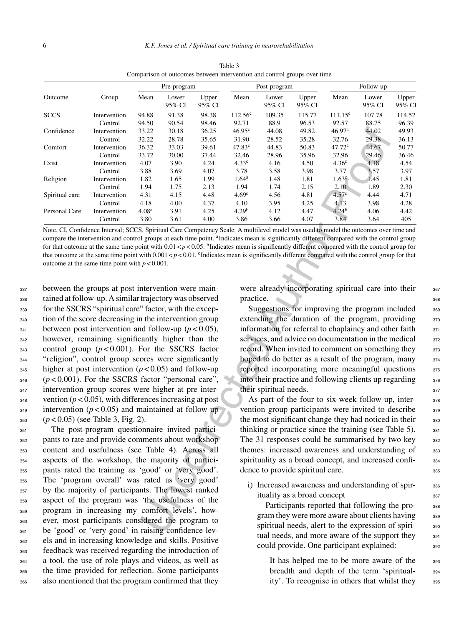| Mean<br>Lower<br>Mean<br>Lower<br>Mean<br>Lower<br>Group<br>Upper<br>Upper<br>Upper<br>95% CI<br>95% CI<br>95% CI<br>95% CI<br>95% CI<br>95% CI<br>91.38<br>98.38<br>$112.56^c$<br>109.35<br>$111.15^c$<br>107.78<br>94.88<br>115.77<br>114.52<br>Intervention<br>90.54<br>98.46<br>92.71<br>88.9<br>96.53<br>96.39<br>Control<br>94.50<br>92.57<br>88.75<br>Confidence<br>$46.95^{\circ}$<br>46.97c<br>44.02<br>Intervention<br>33.22<br>30.18<br>36.25<br>44.08<br>49.82<br>49.93<br>32.22<br>Control<br>28.78<br>35.65<br>31.90<br>28.52<br>35.28<br>32.76<br>29.38<br>36.13<br>Comfort<br>47.83 <sup>c</sup><br>47.72 <sup>c</sup><br>36.32<br>33.03<br>39.61<br>44.83<br>50.83<br>44.67<br>50.77<br>Intervention<br>Control<br>33.72<br>30.00<br>37.44<br>32.46<br>28.96<br>35.96<br>32.96<br>29.46<br>36.46<br>4.33 <sup>c</sup><br>$4.36^{\rm c}$<br>Exist<br>Intervention<br>4.07<br>3.90<br>4.24<br>4.16<br>4.50<br>4.18<br>4.54<br>3.88<br>4.07<br>3.78<br>3.98<br>3.77<br>3.57<br>3.97<br>Control<br>3.69<br>3.58<br>Religion<br>1.99<br>$1.64^{\rm a}$<br>1.63 <sup>c</sup><br>Intervention<br>1.82<br>1.65<br>1.48<br>1.81<br>1.45<br>1.81<br>1.94<br>1.75<br>2.13<br>1.94<br>1.74<br>2.15<br>2.10<br>1.89<br>2.30<br>Control<br>4.69 <sup>c</sup><br>4.57 <sup>c</sup><br>4.31<br>4.15<br>4.48<br>4.56<br>4.81<br>4.44<br>4.71<br>Intervention<br>Control<br>4.37<br>4.10<br>3.95<br>4.25<br>4.13<br>3.98<br>4.28<br>4.18<br>4.00<br>4.29 <sup>b</sup><br>4.24 <sup>b</sup><br>4.08 <sup>a</sup><br>4.25<br>4.47<br>Intervention<br>3.91<br>4.12<br>4.06<br>4.42<br>Control<br>3.61<br>4.00<br>4.07<br>3.84<br>3.80<br>3.86<br>3.66<br>3.64<br>405<br>Note. CI, Confidence Interval; SCCS, Spiritual Care Competency Scale. A multilevel model was used to model the outcomes over time and<br>compare the intervention and control groups at each time point. <sup>a</sup> Indicates mean is significantly different compared with the control group<br>for that outcome at the same time point with $0.01 < p < 0.05$ . <sup>b</sup> Indicates mean is significantly different compared with the control group for<br>that outcome at the same time point with $0.001 < p < 0.01$ . <sup>c</sup> Indicates mean is significantly different compared with the control group for that<br>outcome at the same time point with $p < 0.001$ .<br>between the groups at post intervention were main-<br>were already incorporating spiritual care into their<br>tained at follow-up. A similar trajectory was observed<br>practice.<br>for the SSCRS "spiritual care" factor, with the excep-<br>Suggestions for improving the program included<br>tion of the score decreasing in the intervention group<br>extending the duration of the program, providing<br>between post intervention and follow-up ( $p < 0.05$ ),<br>information for referral to chaplaincy and other faith<br>however, remaining significantly higher than the<br>services, and advice on documentation in the medical<br>control group $(p<0.001)$ . For the SSCRS factor<br>record. When invited to comment on something they<br>"religion", control group scores were significantly<br>hoped to do better as a result of the program, many<br>higher at post intervention ( $p < 0.05$ ) and follow-up<br>reported incorporating more meaningful questions<br>$(p<0.001)$ . For the SSCRS factor "personal care",<br>into their practice and following clients up regarding<br>intervention group scores were higher at pre inter-<br>their spiritual needs.<br>vention ( $p < 0.05$ ), with differences increasing at post<br>As part of the four to six-week follow-up, inter-<br>vention group participants were invited to describe<br>intervention ( $p < 0.05$ ) and maintained at follow-up<br>$(p < 0.05)$ (see Table 3, Fig. 2).<br>the most significant change they had noticed in their<br>The post-program questionnaire invited partici-<br>thinking or practice since the training (see Table 5).<br>pants to rate and provide comments about workshop<br>The 31 responses could be summarised by two key<br>content and usefulness (see Table 4). Across all<br>themes: increased awareness and understanding of<br>aspects of the workshop, the majority of partici-<br>spirituality as a broad concept, and increased confi-<br>pants rated the training as 'good' or 'very good'.<br>dence to provide spiritual care.<br>The 'program overall' was rated as 'very good'<br>i) Increased awareness and understanding of spir-<br>by the majority of participants. The lowest ranked<br>ituality as a broad concept<br>aspect of the program was 'the usefulness of the<br>Participants reported that following the pro-<br>program in increasing my comfort levels', how-<br>gram they were more aware about clients having<br>ever, most participants considered the program to<br>spiritual needs, alert to the expression of spiri-<br>be 'good' or 'very good' in raising confidence lev- |                |  | Pre-program |  | Post-program |  | Follow-up |  |
|-----------------------------------------------------------------------------------------------------------------------------------------------------------------------------------------------------------------------------------------------------------------------------------------------------------------------------------------------------------------------------------------------------------------------------------------------------------------------------------------------------------------------------------------------------------------------------------------------------------------------------------------------------------------------------------------------------------------------------------------------------------------------------------------------------------------------------------------------------------------------------------------------------------------------------------------------------------------------------------------------------------------------------------------------------------------------------------------------------------------------------------------------------------------------------------------------------------------------------------------------------------------------------------------------------------------------------------------------------------------------------------------------------------------------------------------------------------------------------------------------------------------------------------------------------------------------------------------------------------------------------------------------------------------------------------------------------------------------------------------------------------------------------------------------------------------------------------------------------------------------------------------------------------------------------------------------------------------------------------------------------------------------------------------------------------------------------------------------------------------------------------------------------------------------------------------------------------------------------------------------------------------------------------------------------------------------------------------------------------------------------------------------------------------------------------------------------------------------------------------------------------------------------------------------------------------------------------------------------------------------------------------------------------------------------------------------------------------------------------------------------------------------------------------------------------------------------------------------------------------------------------------------------------------------------------------------------------------------------------------------------------------------------------------------------------------------------------------------------------------------------------------------------------------------------------------------------------------------------------------------------------------------------------------------------------------------------------------------------------------------------------------------------------------------------------------------------------------------------------------------------------------------------------------------------------------------------------------------------------------------------------------------------------------------------------------------------------------------------------------------------------------------------------------------------------------------------------------------------------------------------------------------------------------------------------------------------------------------------------------------------------------------------------------------------------------------------------------------------------------------------------------------------------------------------------------------------------------------------------------------------------------------------------------------------------------------------------------------------------------------------------------------------------------------------------------------------------------------------------------------------------------------------------------------------------------------------------------------------------------------------------------------------------------------------------------------------------------------------------------------------------------------------------------------------------------------------------------------------------------------------------------------------------------------------------------------------------------------------------------------------|----------------|--|-------------|--|--------------|--|-----------|--|
|                                                                                                                                                                                                                                                                                                                                                                                                                                                                                                                                                                                                                                                                                                                                                                                                                                                                                                                                                                                                                                                                                                                                                                                                                                                                                                                                                                                                                                                                                                                                                                                                                                                                                                                                                                                                                                                                                                                                                                                                                                                                                                                                                                                                                                                                                                                                                                                                                                                                                                                                                                                                                                                                                                                                                                                                                                                                                                                                                                                                                                                                                                                                                                                                                                                                                                                                                                                                                                                                                                                                                                                                                                                                                                                                                                                                                                                                                                                                                                                                                                                                                                                                                                                                                                                                                                                                                                                                                                                                                                                                                                                                                                                                                                                                                                                                                                                                                                                                                                                                     | Outcome        |  |             |  |              |  |           |  |
|                                                                                                                                                                                                                                                                                                                                                                                                                                                                                                                                                                                                                                                                                                                                                                                                                                                                                                                                                                                                                                                                                                                                                                                                                                                                                                                                                                                                                                                                                                                                                                                                                                                                                                                                                                                                                                                                                                                                                                                                                                                                                                                                                                                                                                                                                                                                                                                                                                                                                                                                                                                                                                                                                                                                                                                                                                                                                                                                                                                                                                                                                                                                                                                                                                                                                                                                                                                                                                                                                                                                                                                                                                                                                                                                                                                                                                                                                                                                                                                                                                                                                                                                                                                                                                                                                                                                                                                                                                                                                                                                                                                                                                                                                                                                                                                                                                                                                                                                                                                                     | <b>SCCS</b>    |  |             |  |              |  |           |  |
|                                                                                                                                                                                                                                                                                                                                                                                                                                                                                                                                                                                                                                                                                                                                                                                                                                                                                                                                                                                                                                                                                                                                                                                                                                                                                                                                                                                                                                                                                                                                                                                                                                                                                                                                                                                                                                                                                                                                                                                                                                                                                                                                                                                                                                                                                                                                                                                                                                                                                                                                                                                                                                                                                                                                                                                                                                                                                                                                                                                                                                                                                                                                                                                                                                                                                                                                                                                                                                                                                                                                                                                                                                                                                                                                                                                                                                                                                                                                                                                                                                                                                                                                                                                                                                                                                                                                                                                                                                                                                                                                                                                                                                                                                                                                                                                                                                                                                                                                                                                                     |                |  |             |  |              |  |           |  |
|                                                                                                                                                                                                                                                                                                                                                                                                                                                                                                                                                                                                                                                                                                                                                                                                                                                                                                                                                                                                                                                                                                                                                                                                                                                                                                                                                                                                                                                                                                                                                                                                                                                                                                                                                                                                                                                                                                                                                                                                                                                                                                                                                                                                                                                                                                                                                                                                                                                                                                                                                                                                                                                                                                                                                                                                                                                                                                                                                                                                                                                                                                                                                                                                                                                                                                                                                                                                                                                                                                                                                                                                                                                                                                                                                                                                                                                                                                                                                                                                                                                                                                                                                                                                                                                                                                                                                                                                                                                                                                                                                                                                                                                                                                                                                                                                                                                                                                                                                                                                     |                |  |             |  |              |  |           |  |
|                                                                                                                                                                                                                                                                                                                                                                                                                                                                                                                                                                                                                                                                                                                                                                                                                                                                                                                                                                                                                                                                                                                                                                                                                                                                                                                                                                                                                                                                                                                                                                                                                                                                                                                                                                                                                                                                                                                                                                                                                                                                                                                                                                                                                                                                                                                                                                                                                                                                                                                                                                                                                                                                                                                                                                                                                                                                                                                                                                                                                                                                                                                                                                                                                                                                                                                                                                                                                                                                                                                                                                                                                                                                                                                                                                                                                                                                                                                                                                                                                                                                                                                                                                                                                                                                                                                                                                                                                                                                                                                                                                                                                                                                                                                                                                                                                                                                                                                                                                                                     |                |  |             |  |              |  |           |  |
|                                                                                                                                                                                                                                                                                                                                                                                                                                                                                                                                                                                                                                                                                                                                                                                                                                                                                                                                                                                                                                                                                                                                                                                                                                                                                                                                                                                                                                                                                                                                                                                                                                                                                                                                                                                                                                                                                                                                                                                                                                                                                                                                                                                                                                                                                                                                                                                                                                                                                                                                                                                                                                                                                                                                                                                                                                                                                                                                                                                                                                                                                                                                                                                                                                                                                                                                                                                                                                                                                                                                                                                                                                                                                                                                                                                                                                                                                                                                                                                                                                                                                                                                                                                                                                                                                                                                                                                                                                                                                                                                                                                                                                                                                                                                                                                                                                                                                                                                                                                                     |                |  |             |  |              |  |           |  |
|                                                                                                                                                                                                                                                                                                                                                                                                                                                                                                                                                                                                                                                                                                                                                                                                                                                                                                                                                                                                                                                                                                                                                                                                                                                                                                                                                                                                                                                                                                                                                                                                                                                                                                                                                                                                                                                                                                                                                                                                                                                                                                                                                                                                                                                                                                                                                                                                                                                                                                                                                                                                                                                                                                                                                                                                                                                                                                                                                                                                                                                                                                                                                                                                                                                                                                                                                                                                                                                                                                                                                                                                                                                                                                                                                                                                                                                                                                                                                                                                                                                                                                                                                                                                                                                                                                                                                                                                                                                                                                                                                                                                                                                                                                                                                                                                                                                                                                                                                                                                     |                |  |             |  |              |  |           |  |
|                                                                                                                                                                                                                                                                                                                                                                                                                                                                                                                                                                                                                                                                                                                                                                                                                                                                                                                                                                                                                                                                                                                                                                                                                                                                                                                                                                                                                                                                                                                                                                                                                                                                                                                                                                                                                                                                                                                                                                                                                                                                                                                                                                                                                                                                                                                                                                                                                                                                                                                                                                                                                                                                                                                                                                                                                                                                                                                                                                                                                                                                                                                                                                                                                                                                                                                                                                                                                                                                                                                                                                                                                                                                                                                                                                                                                                                                                                                                                                                                                                                                                                                                                                                                                                                                                                                                                                                                                                                                                                                                                                                                                                                                                                                                                                                                                                                                                                                                                                                                     |                |  |             |  |              |  |           |  |
|                                                                                                                                                                                                                                                                                                                                                                                                                                                                                                                                                                                                                                                                                                                                                                                                                                                                                                                                                                                                                                                                                                                                                                                                                                                                                                                                                                                                                                                                                                                                                                                                                                                                                                                                                                                                                                                                                                                                                                                                                                                                                                                                                                                                                                                                                                                                                                                                                                                                                                                                                                                                                                                                                                                                                                                                                                                                                                                                                                                                                                                                                                                                                                                                                                                                                                                                                                                                                                                                                                                                                                                                                                                                                                                                                                                                                                                                                                                                                                                                                                                                                                                                                                                                                                                                                                                                                                                                                                                                                                                                                                                                                                                                                                                                                                                                                                                                                                                                                                                                     |                |  |             |  |              |  |           |  |
|                                                                                                                                                                                                                                                                                                                                                                                                                                                                                                                                                                                                                                                                                                                                                                                                                                                                                                                                                                                                                                                                                                                                                                                                                                                                                                                                                                                                                                                                                                                                                                                                                                                                                                                                                                                                                                                                                                                                                                                                                                                                                                                                                                                                                                                                                                                                                                                                                                                                                                                                                                                                                                                                                                                                                                                                                                                                                                                                                                                                                                                                                                                                                                                                                                                                                                                                                                                                                                                                                                                                                                                                                                                                                                                                                                                                                                                                                                                                                                                                                                                                                                                                                                                                                                                                                                                                                                                                                                                                                                                                                                                                                                                                                                                                                                                                                                                                                                                                                                                                     |                |  |             |  |              |  |           |  |
|                                                                                                                                                                                                                                                                                                                                                                                                                                                                                                                                                                                                                                                                                                                                                                                                                                                                                                                                                                                                                                                                                                                                                                                                                                                                                                                                                                                                                                                                                                                                                                                                                                                                                                                                                                                                                                                                                                                                                                                                                                                                                                                                                                                                                                                                                                                                                                                                                                                                                                                                                                                                                                                                                                                                                                                                                                                                                                                                                                                                                                                                                                                                                                                                                                                                                                                                                                                                                                                                                                                                                                                                                                                                                                                                                                                                                                                                                                                                                                                                                                                                                                                                                                                                                                                                                                                                                                                                                                                                                                                                                                                                                                                                                                                                                                                                                                                                                                                                                                                                     | Spiritual care |  |             |  |              |  |           |  |
|                                                                                                                                                                                                                                                                                                                                                                                                                                                                                                                                                                                                                                                                                                                                                                                                                                                                                                                                                                                                                                                                                                                                                                                                                                                                                                                                                                                                                                                                                                                                                                                                                                                                                                                                                                                                                                                                                                                                                                                                                                                                                                                                                                                                                                                                                                                                                                                                                                                                                                                                                                                                                                                                                                                                                                                                                                                                                                                                                                                                                                                                                                                                                                                                                                                                                                                                                                                                                                                                                                                                                                                                                                                                                                                                                                                                                                                                                                                                                                                                                                                                                                                                                                                                                                                                                                                                                                                                                                                                                                                                                                                                                                                                                                                                                                                                                                                                                                                                                                                                     |                |  |             |  |              |  |           |  |
|                                                                                                                                                                                                                                                                                                                                                                                                                                                                                                                                                                                                                                                                                                                                                                                                                                                                                                                                                                                                                                                                                                                                                                                                                                                                                                                                                                                                                                                                                                                                                                                                                                                                                                                                                                                                                                                                                                                                                                                                                                                                                                                                                                                                                                                                                                                                                                                                                                                                                                                                                                                                                                                                                                                                                                                                                                                                                                                                                                                                                                                                                                                                                                                                                                                                                                                                                                                                                                                                                                                                                                                                                                                                                                                                                                                                                                                                                                                                                                                                                                                                                                                                                                                                                                                                                                                                                                                                                                                                                                                                                                                                                                                                                                                                                                                                                                                                                                                                                                                                     | Personal Care  |  |             |  |              |  |           |  |
|                                                                                                                                                                                                                                                                                                                                                                                                                                                                                                                                                                                                                                                                                                                                                                                                                                                                                                                                                                                                                                                                                                                                                                                                                                                                                                                                                                                                                                                                                                                                                                                                                                                                                                                                                                                                                                                                                                                                                                                                                                                                                                                                                                                                                                                                                                                                                                                                                                                                                                                                                                                                                                                                                                                                                                                                                                                                                                                                                                                                                                                                                                                                                                                                                                                                                                                                                                                                                                                                                                                                                                                                                                                                                                                                                                                                                                                                                                                                                                                                                                                                                                                                                                                                                                                                                                                                                                                                                                                                                                                                                                                                                                                                                                                                                                                                                                                                                                                                                                                                     |                |  |             |  |              |  |           |  |
|                                                                                                                                                                                                                                                                                                                                                                                                                                                                                                                                                                                                                                                                                                                                                                                                                                                                                                                                                                                                                                                                                                                                                                                                                                                                                                                                                                                                                                                                                                                                                                                                                                                                                                                                                                                                                                                                                                                                                                                                                                                                                                                                                                                                                                                                                                                                                                                                                                                                                                                                                                                                                                                                                                                                                                                                                                                                                                                                                                                                                                                                                                                                                                                                                                                                                                                                                                                                                                                                                                                                                                                                                                                                                                                                                                                                                                                                                                                                                                                                                                                                                                                                                                                                                                                                                                                                                                                                                                                                                                                                                                                                                                                                                                                                                                                                                                                                                                                                                                                                     |                |  |             |  |              |  |           |  |
|                                                                                                                                                                                                                                                                                                                                                                                                                                                                                                                                                                                                                                                                                                                                                                                                                                                                                                                                                                                                                                                                                                                                                                                                                                                                                                                                                                                                                                                                                                                                                                                                                                                                                                                                                                                                                                                                                                                                                                                                                                                                                                                                                                                                                                                                                                                                                                                                                                                                                                                                                                                                                                                                                                                                                                                                                                                                                                                                                                                                                                                                                                                                                                                                                                                                                                                                                                                                                                                                                                                                                                                                                                                                                                                                                                                                                                                                                                                                                                                                                                                                                                                                                                                                                                                                                                                                                                                                                                                                                                                                                                                                                                                                                                                                                                                                                                                                                                                                                                                                     |                |  |             |  |              |  |           |  |
|                                                                                                                                                                                                                                                                                                                                                                                                                                                                                                                                                                                                                                                                                                                                                                                                                                                                                                                                                                                                                                                                                                                                                                                                                                                                                                                                                                                                                                                                                                                                                                                                                                                                                                                                                                                                                                                                                                                                                                                                                                                                                                                                                                                                                                                                                                                                                                                                                                                                                                                                                                                                                                                                                                                                                                                                                                                                                                                                                                                                                                                                                                                                                                                                                                                                                                                                                                                                                                                                                                                                                                                                                                                                                                                                                                                                                                                                                                                                                                                                                                                                                                                                                                                                                                                                                                                                                                                                                                                                                                                                                                                                                                                                                                                                                                                                                                                                                                                                                                                                     |                |  |             |  |              |  |           |  |
|                                                                                                                                                                                                                                                                                                                                                                                                                                                                                                                                                                                                                                                                                                                                                                                                                                                                                                                                                                                                                                                                                                                                                                                                                                                                                                                                                                                                                                                                                                                                                                                                                                                                                                                                                                                                                                                                                                                                                                                                                                                                                                                                                                                                                                                                                                                                                                                                                                                                                                                                                                                                                                                                                                                                                                                                                                                                                                                                                                                                                                                                                                                                                                                                                                                                                                                                                                                                                                                                                                                                                                                                                                                                                                                                                                                                                                                                                                                                                                                                                                                                                                                                                                                                                                                                                                                                                                                                                                                                                                                                                                                                                                                                                                                                                                                                                                                                                                                                                                                                     |                |  |             |  |              |  |           |  |
|                                                                                                                                                                                                                                                                                                                                                                                                                                                                                                                                                                                                                                                                                                                                                                                                                                                                                                                                                                                                                                                                                                                                                                                                                                                                                                                                                                                                                                                                                                                                                                                                                                                                                                                                                                                                                                                                                                                                                                                                                                                                                                                                                                                                                                                                                                                                                                                                                                                                                                                                                                                                                                                                                                                                                                                                                                                                                                                                                                                                                                                                                                                                                                                                                                                                                                                                                                                                                                                                                                                                                                                                                                                                                                                                                                                                                                                                                                                                                                                                                                                                                                                                                                                                                                                                                                                                                                                                                                                                                                                                                                                                                                                                                                                                                                                                                                                                                                                                                                                                     |                |  |             |  |              |  |           |  |
|                                                                                                                                                                                                                                                                                                                                                                                                                                                                                                                                                                                                                                                                                                                                                                                                                                                                                                                                                                                                                                                                                                                                                                                                                                                                                                                                                                                                                                                                                                                                                                                                                                                                                                                                                                                                                                                                                                                                                                                                                                                                                                                                                                                                                                                                                                                                                                                                                                                                                                                                                                                                                                                                                                                                                                                                                                                                                                                                                                                                                                                                                                                                                                                                                                                                                                                                                                                                                                                                                                                                                                                                                                                                                                                                                                                                                                                                                                                                                                                                                                                                                                                                                                                                                                                                                                                                                                                                                                                                                                                                                                                                                                                                                                                                                                                                                                                                                                                                                                                                     |                |  |             |  |              |  |           |  |
|                                                                                                                                                                                                                                                                                                                                                                                                                                                                                                                                                                                                                                                                                                                                                                                                                                                                                                                                                                                                                                                                                                                                                                                                                                                                                                                                                                                                                                                                                                                                                                                                                                                                                                                                                                                                                                                                                                                                                                                                                                                                                                                                                                                                                                                                                                                                                                                                                                                                                                                                                                                                                                                                                                                                                                                                                                                                                                                                                                                                                                                                                                                                                                                                                                                                                                                                                                                                                                                                                                                                                                                                                                                                                                                                                                                                                                                                                                                                                                                                                                                                                                                                                                                                                                                                                                                                                                                                                                                                                                                                                                                                                                                                                                                                                                                                                                                                                                                                                                                                     |                |  |             |  |              |  |           |  |
|                                                                                                                                                                                                                                                                                                                                                                                                                                                                                                                                                                                                                                                                                                                                                                                                                                                                                                                                                                                                                                                                                                                                                                                                                                                                                                                                                                                                                                                                                                                                                                                                                                                                                                                                                                                                                                                                                                                                                                                                                                                                                                                                                                                                                                                                                                                                                                                                                                                                                                                                                                                                                                                                                                                                                                                                                                                                                                                                                                                                                                                                                                                                                                                                                                                                                                                                                                                                                                                                                                                                                                                                                                                                                                                                                                                                                                                                                                                                                                                                                                                                                                                                                                                                                                                                                                                                                                                                                                                                                                                                                                                                                                                                                                                                                                                                                                                                                                                                                                                                     |                |  |             |  |              |  |           |  |
|                                                                                                                                                                                                                                                                                                                                                                                                                                                                                                                                                                                                                                                                                                                                                                                                                                                                                                                                                                                                                                                                                                                                                                                                                                                                                                                                                                                                                                                                                                                                                                                                                                                                                                                                                                                                                                                                                                                                                                                                                                                                                                                                                                                                                                                                                                                                                                                                                                                                                                                                                                                                                                                                                                                                                                                                                                                                                                                                                                                                                                                                                                                                                                                                                                                                                                                                                                                                                                                                                                                                                                                                                                                                                                                                                                                                                                                                                                                                                                                                                                                                                                                                                                                                                                                                                                                                                                                                                                                                                                                                                                                                                                                                                                                                                                                                                                                                                                                                                                                                     |                |  |             |  |              |  |           |  |
|                                                                                                                                                                                                                                                                                                                                                                                                                                                                                                                                                                                                                                                                                                                                                                                                                                                                                                                                                                                                                                                                                                                                                                                                                                                                                                                                                                                                                                                                                                                                                                                                                                                                                                                                                                                                                                                                                                                                                                                                                                                                                                                                                                                                                                                                                                                                                                                                                                                                                                                                                                                                                                                                                                                                                                                                                                                                                                                                                                                                                                                                                                                                                                                                                                                                                                                                                                                                                                                                                                                                                                                                                                                                                                                                                                                                                                                                                                                                                                                                                                                                                                                                                                                                                                                                                                                                                                                                                                                                                                                                                                                                                                                                                                                                                                                                                                                                                                                                                                                                     |                |  |             |  |              |  |           |  |
|                                                                                                                                                                                                                                                                                                                                                                                                                                                                                                                                                                                                                                                                                                                                                                                                                                                                                                                                                                                                                                                                                                                                                                                                                                                                                                                                                                                                                                                                                                                                                                                                                                                                                                                                                                                                                                                                                                                                                                                                                                                                                                                                                                                                                                                                                                                                                                                                                                                                                                                                                                                                                                                                                                                                                                                                                                                                                                                                                                                                                                                                                                                                                                                                                                                                                                                                                                                                                                                                                                                                                                                                                                                                                                                                                                                                                                                                                                                                                                                                                                                                                                                                                                                                                                                                                                                                                                                                                                                                                                                                                                                                                                                                                                                                                                                                                                                                                                                                                                                                     |                |  |             |  |              |  |           |  |
|                                                                                                                                                                                                                                                                                                                                                                                                                                                                                                                                                                                                                                                                                                                                                                                                                                                                                                                                                                                                                                                                                                                                                                                                                                                                                                                                                                                                                                                                                                                                                                                                                                                                                                                                                                                                                                                                                                                                                                                                                                                                                                                                                                                                                                                                                                                                                                                                                                                                                                                                                                                                                                                                                                                                                                                                                                                                                                                                                                                                                                                                                                                                                                                                                                                                                                                                                                                                                                                                                                                                                                                                                                                                                                                                                                                                                                                                                                                                                                                                                                                                                                                                                                                                                                                                                                                                                                                                                                                                                                                                                                                                                                                                                                                                                                                                                                                                                                                                                                                                     |                |  |             |  |              |  |           |  |
|                                                                                                                                                                                                                                                                                                                                                                                                                                                                                                                                                                                                                                                                                                                                                                                                                                                                                                                                                                                                                                                                                                                                                                                                                                                                                                                                                                                                                                                                                                                                                                                                                                                                                                                                                                                                                                                                                                                                                                                                                                                                                                                                                                                                                                                                                                                                                                                                                                                                                                                                                                                                                                                                                                                                                                                                                                                                                                                                                                                                                                                                                                                                                                                                                                                                                                                                                                                                                                                                                                                                                                                                                                                                                                                                                                                                                                                                                                                                                                                                                                                                                                                                                                                                                                                                                                                                                                                                                                                                                                                                                                                                                                                                                                                                                                                                                                                                                                                                                                                                     |                |  |             |  |              |  |           |  |
|                                                                                                                                                                                                                                                                                                                                                                                                                                                                                                                                                                                                                                                                                                                                                                                                                                                                                                                                                                                                                                                                                                                                                                                                                                                                                                                                                                                                                                                                                                                                                                                                                                                                                                                                                                                                                                                                                                                                                                                                                                                                                                                                                                                                                                                                                                                                                                                                                                                                                                                                                                                                                                                                                                                                                                                                                                                                                                                                                                                                                                                                                                                                                                                                                                                                                                                                                                                                                                                                                                                                                                                                                                                                                                                                                                                                                                                                                                                                                                                                                                                                                                                                                                                                                                                                                                                                                                                                                                                                                                                                                                                                                                                                                                                                                                                                                                                                                                                                                                                                     |                |  |             |  |              |  |           |  |
|                                                                                                                                                                                                                                                                                                                                                                                                                                                                                                                                                                                                                                                                                                                                                                                                                                                                                                                                                                                                                                                                                                                                                                                                                                                                                                                                                                                                                                                                                                                                                                                                                                                                                                                                                                                                                                                                                                                                                                                                                                                                                                                                                                                                                                                                                                                                                                                                                                                                                                                                                                                                                                                                                                                                                                                                                                                                                                                                                                                                                                                                                                                                                                                                                                                                                                                                                                                                                                                                                                                                                                                                                                                                                                                                                                                                                                                                                                                                                                                                                                                                                                                                                                                                                                                                                                                                                                                                                                                                                                                                                                                                                                                                                                                                                                                                                                                                                                                                                                                                     |                |  |             |  |              |  |           |  |
|                                                                                                                                                                                                                                                                                                                                                                                                                                                                                                                                                                                                                                                                                                                                                                                                                                                                                                                                                                                                                                                                                                                                                                                                                                                                                                                                                                                                                                                                                                                                                                                                                                                                                                                                                                                                                                                                                                                                                                                                                                                                                                                                                                                                                                                                                                                                                                                                                                                                                                                                                                                                                                                                                                                                                                                                                                                                                                                                                                                                                                                                                                                                                                                                                                                                                                                                                                                                                                                                                                                                                                                                                                                                                                                                                                                                                                                                                                                                                                                                                                                                                                                                                                                                                                                                                                                                                                                                                                                                                                                                                                                                                                                                                                                                                                                                                                                                                                                                                                                                     |                |  |             |  |              |  |           |  |
|                                                                                                                                                                                                                                                                                                                                                                                                                                                                                                                                                                                                                                                                                                                                                                                                                                                                                                                                                                                                                                                                                                                                                                                                                                                                                                                                                                                                                                                                                                                                                                                                                                                                                                                                                                                                                                                                                                                                                                                                                                                                                                                                                                                                                                                                                                                                                                                                                                                                                                                                                                                                                                                                                                                                                                                                                                                                                                                                                                                                                                                                                                                                                                                                                                                                                                                                                                                                                                                                                                                                                                                                                                                                                                                                                                                                                                                                                                                                                                                                                                                                                                                                                                                                                                                                                                                                                                                                                                                                                                                                                                                                                                                                                                                                                                                                                                                                                                                                                                                                     |                |  |             |  |              |  |           |  |
|                                                                                                                                                                                                                                                                                                                                                                                                                                                                                                                                                                                                                                                                                                                                                                                                                                                                                                                                                                                                                                                                                                                                                                                                                                                                                                                                                                                                                                                                                                                                                                                                                                                                                                                                                                                                                                                                                                                                                                                                                                                                                                                                                                                                                                                                                                                                                                                                                                                                                                                                                                                                                                                                                                                                                                                                                                                                                                                                                                                                                                                                                                                                                                                                                                                                                                                                                                                                                                                                                                                                                                                                                                                                                                                                                                                                                                                                                                                                                                                                                                                                                                                                                                                                                                                                                                                                                                                                                                                                                                                                                                                                                                                                                                                                                                                                                                                                                                                                                                                                     |                |  |             |  |              |  |           |  |
|                                                                                                                                                                                                                                                                                                                                                                                                                                                                                                                                                                                                                                                                                                                                                                                                                                                                                                                                                                                                                                                                                                                                                                                                                                                                                                                                                                                                                                                                                                                                                                                                                                                                                                                                                                                                                                                                                                                                                                                                                                                                                                                                                                                                                                                                                                                                                                                                                                                                                                                                                                                                                                                                                                                                                                                                                                                                                                                                                                                                                                                                                                                                                                                                                                                                                                                                                                                                                                                                                                                                                                                                                                                                                                                                                                                                                                                                                                                                                                                                                                                                                                                                                                                                                                                                                                                                                                                                                                                                                                                                                                                                                                                                                                                                                                                                                                                                                                                                                                                                     |                |  |             |  |              |  |           |  |
|                                                                                                                                                                                                                                                                                                                                                                                                                                                                                                                                                                                                                                                                                                                                                                                                                                                                                                                                                                                                                                                                                                                                                                                                                                                                                                                                                                                                                                                                                                                                                                                                                                                                                                                                                                                                                                                                                                                                                                                                                                                                                                                                                                                                                                                                                                                                                                                                                                                                                                                                                                                                                                                                                                                                                                                                                                                                                                                                                                                                                                                                                                                                                                                                                                                                                                                                                                                                                                                                                                                                                                                                                                                                                                                                                                                                                                                                                                                                                                                                                                                                                                                                                                                                                                                                                                                                                                                                                                                                                                                                                                                                                                                                                                                                                                                                                                                                                                                                                                                                     |                |  |             |  |              |  |           |  |
|                                                                                                                                                                                                                                                                                                                                                                                                                                                                                                                                                                                                                                                                                                                                                                                                                                                                                                                                                                                                                                                                                                                                                                                                                                                                                                                                                                                                                                                                                                                                                                                                                                                                                                                                                                                                                                                                                                                                                                                                                                                                                                                                                                                                                                                                                                                                                                                                                                                                                                                                                                                                                                                                                                                                                                                                                                                                                                                                                                                                                                                                                                                                                                                                                                                                                                                                                                                                                                                                                                                                                                                                                                                                                                                                                                                                                                                                                                                                                                                                                                                                                                                                                                                                                                                                                                                                                                                                                                                                                                                                                                                                                                                                                                                                                                                                                                                                                                                                                                                                     |                |  |             |  |              |  |           |  |
|                                                                                                                                                                                                                                                                                                                                                                                                                                                                                                                                                                                                                                                                                                                                                                                                                                                                                                                                                                                                                                                                                                                                                                                                                                                                                                                                                                                                                                                                                                                                                                                                                                                                                                                                                                                                                                                                                                                                                                                                                                                                                                                                                                                                                                                                                                                                                                                                                                                                                                                                                                                                                                                                                                                                                                                                                                                                                                                                                                                                                                                                                                                                                                                                                                                                                                                                                                                                                                                                                                                                                                                                                                                                                                                                                                                                                                                                                                                                                                                                                                                                                                                                                                                                                                                                                                                                                                                                                                                                                                                                                                                                                                                                                                                                                                                                                                                                                                                                                                                                     |                |  |             |  |              |  |           |  |
|                                                                                                                                                                                                                                                                                                                                                                                                                                                                                                                                                                                                                                                                                                                                                                                                                                                                                                                                                                                                                                                                                                                                                                                                                                                                                                                                                                                                                                                                                                                                                                                                                                                                                                                                                                                                                                                                                                                                                                                                                                                                                                                                                                                                                                                                                                                                                                                                                                                                                                                                                                                                                                                                                                                                                                                                                                                                                                                                                                                                                                                                                                                                                                                                                                                                                                                                                                                                                                                                                                                                                                                                                                                                                                                                                                                                                                                                                                                                                                                                                                                                                                                                                                                                                                                                                                                                                                                                                                                                                                                                                                                                                                                                                                                                                                                                                                                                                                                                                                                                     |                |  |             |  |              |  |           |  |
|                                                                                                                                                                                                                                                                                                                                                                                                                                                                                                                                                                                                                                                                                                                                                                                                                                                                                                                                                                                                                                                                                                                                                                                                                                                                                                                                                                                                                                                                                                                                                                                                                                                                                                                                                                                                                                                                                                                                                                                                                                                                                                                                                                                                                                                                                                                                                                                                                                                                                                                                                                                                                                                                                                                                                                                                                                                                                                                                                                                                                                                                                                                                                                                                                                                                                                                                                                                                                                                                                                                                                                                                                                                                                                                                                                                                                                                                                                                                                                                                                                                                                                                                                                                                                                                                                                                                                                                                                                                                                                                                                                                                                                                                                                                                                                                                                                                                                                                                                                                                     |                |  |             |  |              |  |           |  |

Table 3 Comparison of outcomes between intervention and control groups over time

337 between the groups at post intervention were main- tained at follow-up. A similar trajectory was observed for the SSCRS "spiritual care" factor, with the excep- tion of the score decreasing in the intervention group  $_{341}$  between post intervention and follow-up ( $p < 0.05$ ), however, remaining significantly higher than the control group (*p* < 0.001). For the SSCRS factor <sup>344</sup> "religion", control group scores were significantly  $_{345}$  higher at post intervention ( $p < 0.05$ ) and follow-up ( $p < 0.001$ ). For the SSCRS factor "personal care", intervention group scores were higher at pre inter- vention ( $p < 0.05$ ), with differences increasing at post  $_{349}$  intervention ( $p < 0.05$ ) and maintained at follow-up (*p* < 0.05) (see Table 3, Fig. 2).

 The post-program questionnaire invited partici- pants to rate and provide comments about workshop content and usefulness (see Table 4). Across all aspects of the workshop, the majority of partici- pants rated the training as 'good' or 'very good'. The 'program overall' was rated as 'very good' by the majority of participants. The lowest ranked aspect of the program was 'the usefulness of the program in increasing my comfort levels', how- ever, most participants considered the program to be 'good' or 'very good' in raising confidence lev- els and in increasing knowledge and skills. Positive feedback was received regarding the introduction of a tool, the use of role plays and videos, as well as the time provided for reflection. Some participants also mentioned that the program confirmed that they

were already incorporating spiritual care into their 367 practice. 368

Suggestions for improving the program included 369 extending the duration of the program, providing 370 information for referral to chaplaincy and other faith 371 services, and advice on documentation in the medical 372 record. When invited to comment on something they  $373$ hoped to do better as a result of the program, many  $374$ reported incorporating more meaningful questions 375 into their practice and following clients up regarding  $376$ their spiritual needs. 377

As part of the four to six-week follow-up, inter-<br>378 vention group participants were invited to describe 379 the most significant change they had noticed in their  $\frac{380}{2}$ thinking or practice since the training (see Table 5).  $381$ The 31 responses could be summarised by two key  $382$ themes: increased awareness and understanding of 383 spirituality as a broad concept, and increased confi-<br><sub>384</sub> dence to provide spiritual care.

i) Increased awareness and understanding of spir-<br><sub>386</sub> ituality as a broad concept 387

Participants reported that following the pro-<br>s88 gram they were more aware about clients having 389 spiritual needs, alert to the expression of spiri-<br>s90 tual needs, and more aware of the support they  $\frac{391}{2}$ could provide. One participant explained: 392

It has helped me to be more aware of the 393 breadth and depth of the term 'spiritual- <sup>394</sup> ity'. To recognise in others that whilst they 395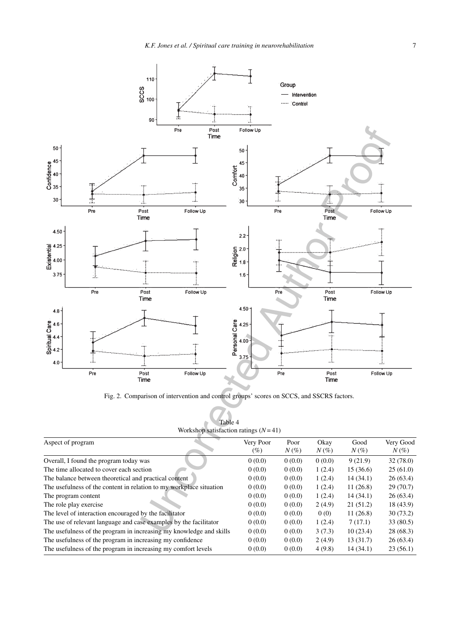

Fig. 2. Comparison of intervention and control groups' scores on SCCS, and SSCRS factors.

| Workshop satisfaction ratings $(N=41)$                              |           |         |         |          |           |
|---------------------------------------------------------------------|-----------|---------|---------|----------|-----------|
| Aspect of program                                                   | Very Poor | Poor    |         | Good     | Very Good |
|                                                                     | (%)       | $N(\%)$ | $N(\%)$ | $N(\%)$  | $N(\%)$   |
| Overall, I found the program today was                              | 0(0.0)    | 0(0.0)  | 0(0.0)  | 9(21.9)  | 32(78.0)  |
| The time allocated to cover each section                            | 0(0.0)    | 0(0.0)  | 1(2.4)  | 15(36.6) | 25(61.0)  |
| The balance between theoretical and practical content               | 0(0.0)    | 0(0.0)  | 1(2.4)  | 14(34.1) | 26(63.4)  |
| The usefulness of the content in relation to my workplace situation | 0(0.0)    | 0(0.0)  | 1(2.4)  | 11(26.8) | 29(70.7)  |
| The program content                                                 | 0(0.0)    | 0(0.0)  | 1(2.4)  | 14(34.1) | 26(63.4)  |
| The role play exercise                                              | 0(0.0)    | 0(0.0)  | 2(4.9)  | 21(51.2) | 18 (43.9) |
| The level of interaction encouraged by the facilitator              | 0(0.0)    | 0(0.0)  | 0(0)    | 11(26.8) | 30(73.2)  |
| The use of relevant language and case examples by the facilitator   | 0(0.0)    | 0(0.0)  | 1(2.4)  | 7(17.1)  | 33(80.5)  |
| The usefulness of the program in increasing my knowledge and skills | 0(0.0)    | 0(0.0)  | 3(7.3)  | 10(23.4) | 28(68.3)  |
| The usefulness of the program in increasing my confidence           | 0(0.0)    | 0(0.0)  | 2(4.9)  | 13(31.7) | 26(63.4)  |
| The usefulness of the program in increasing my comfort levels       | 0(0.0)    | 0(0.0)  | 4(9.8)  | 14(34.1) | 23(56.1)  |

Table 4 Workshop satisfaction ratings (*N*= 41)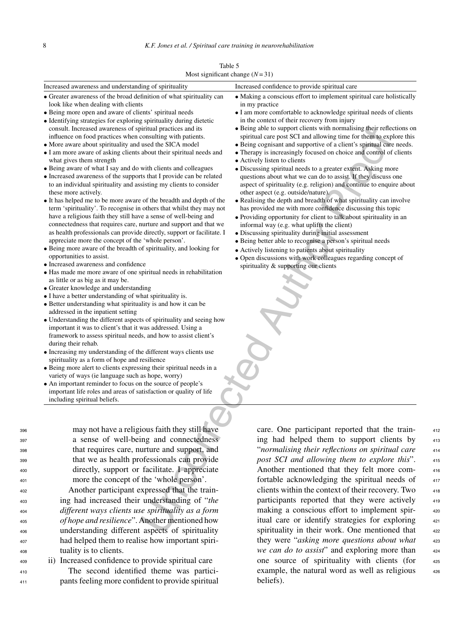| Table 5                          |
|----------------------------------|
| Most significant change $(N=31)$ |

| Increased awareness and understanding of spirituality                                                                                                                                  | Increased confidence to provide spiritual care                                                                                             |
|----------------------------------------------------------------------------------------------------------------------------------------------------------------------------------------|--------------------------------------------------------------------------------------------------------------------------------------------|
| • Greater awareness of the broad definition of what spirituality can                                                                                                                   | • Making a conscious effort to implement spiritual care holistically                                                                       |
| look like when dealing with clients                                                                                                                                                    | in my practice                                                                                                                             |
| • Being more open and aware of clients' spiritual needs                                                                                                                                | • I am more comfortable to acknowledge spiritual needs of clients                                                                          |
| • Identifying strategies for exploring spirituality during dietetic                                                                                                                    | in the context of their recovery from injury                                                                                               |
| consult. Increased awareness of spiritual practices and its                                                                                                                            | • Being able to support clients with normalising their reflections on                                                                      |
| influence on food practices when consulting with patients.<br>• More aware about spirituality and used the SICA model                                                                  | spiritual care post SCI and allowing time for them to explore this<br>• Being cognisant and supportive of a client's spiritual care needs. |
| • I am more aware of asking clients about their spiritual needs and                                                                                                                    | • Therapy is increasingly focused on choice and control of clients                                                                         |
| what gives them strength                                                                                                                                                               | • Actively listen to clients                                                                                                               |
| • Being aware of what I say and do with clients and colleagues                                                                                                                         | · Discussing spiritual needs to a greater extent. Asking more                                                                              |
| • Increased awareness of the supports that I provide can be related<br>to an individual spirituality and assisting my clients to consider                                              | questions about what we can do to assist. If they discuss one<br>aspect of spirituality (e.g. religion) and continue to enquire about      |
| these more actively.                                                                                                                                                                   | other aspect (e.g. outside/nature).                                                                                                        |
| • It has helped me to be more aware of the breadth and depth of the                                                                                                                    | • Realising the depth and breadth of what spirituality can involve                                                                         |
| term 'spirituality'. To recognise in others that whilst they may not                                                                                                                   | has provided me with more confidence discussing this topic                                                                                 |
| have a religious faith they still have a sense of well-being and                                                                                                                       | • Providing opportunity for client to talk about spirituality in an                                                                        |
| connectedness that requires care, nurture and support and that we<br>as health professionals can provide directly, support or facilitate. I                                            | informal way (e.g. what uplifts the client)<br>• Discussing spirituality during initial assessment                                         |
| appreciate more the concept of the 'whole person'.                                                                                                                                     | • Being better able to recognise a person's spiritual needs                                                                                |
| • Being more aware of the breadth of spirituality, and looking for                                                                                                                     | • Actively listening to patients about spirituality                                                                                        |
| opportunities to assist.                                                                                                                                                               | • Open discussions with work colleagues regarding concept of                                                                               |
| • Increased awareness and confidence                                                                                                                                                   | spirituality & supporting our clients                                                                                                      |
| • Has made me more aware of one spiritual needs in rehabilitation                                                                                                                      |                                                                                                                                            |
| as little or as big as it may be.                                                                                                                                                      |                                                                                                                                            |
| • Greater knowledge and understanding                                                                                                                                                  |                                                                                                                                            |
| • I have a better understanding of what spirituality is.<br>• Better understanding what spirituality is and how it can be                                                              |                                                                                                                                            |
| addressed in the inpatient setting                                                                                                                                                     |                                                                                                                                            |
| • Understanding the different aspects of spirituality and seeing how                                                                                                                   |                                                                                                                                            |
| important it was to client's that it was addressed. Using a                                                                                                                            |                                                                                                                                            |
| framework to assess spiritual needs, and how to assist client's                                                                                                                        |                                                                                                                                            |
| during their rehab.                                                                                                                                                                    |                                                                                                                                            |
| • Increasing my understanding of the different ways clients use                                                                                                                        |                                                                                                                                            |
| spirituality as a form of hope and resilience                                                                                                                                          |                                                                                                                                            |
| • Being more alert to clients expressing their spiritual needs in a<br>variety of ways (ie language such as hope, worry)<br>• An important reminder to focus on the source of people's |                                                                                                                                            |
| important life roles and areas of satisfaction or quality of life                                                                                                                      |                                                                                                                                            |
| including spiritual beliefs.                                                                                                                                                           |                                                                                                                                            |
|                                                                                                                                                                                        |                                                                                                                                            |
| may not have a religious faith they still have                                                                                                                                         | care. One participant reported that the train-                                                                                             |
| a sense of well-being and connectedness                                                                                                                                                | ing had helped them to support clients by                                                                                                  |
| that requires care, nurture and support, and                                                                                                                                           | "normalising their reflections on spiritual care                                                                                           |
| that we as health professionals can provide                                                                                                                                            | post SCI and allowing them to explore this".                                                                                               |
| directly, support or facilitate. I appreciate                                                                                                                                          | Another mentioned that they felt more com-                                                                                                 |
| more the concept of the 'whole person'.                                                                                                                                                | fortable acknowledging the spiritual needs of                                                                                              |
| Another participant expressed that the train-                                                                                                                                          | clients within the context of their recovery. Two                                                                                          |
| ing had increased their understanding of "the                                                                                                                                          | participants reported that they were actively                                                                                              |
|                                                                                                                                                                                        |                                                                                                                                            |
| different ways clients use spirituality as a form                                                                                                                                      | making a conscious effort to implement spir-                                                                                               |
| of hope and resilience". Another mentioned how                                                                                                                                         | itual care or identify strategies for exploring                                                                                            |
| understanding different aspects of spirituality                                                                                                                                        | spirituality in their work. One mentioned that                                                                                             |

beliefs).

- <sup>406</sup> understanding different aspects of spirituality <sup>407</sup> had helped them to realise how important spiri-<sup>408</sup> tuality is to clients.
- <sup>409</sup> ii) Increased confidence to provide spiritual care <sup>410</sup> The second identified theme was partici-<sup>411</sup> pants feeling more confident to provide spiritual

spirituality in their work. One mentioned that 422 they were "*asking more questions about what* 423 *we can do to assist*" and exploring more than  $424$ one source of spirituality with clients (for <sup>425</sup> example, the natural word as well as religious 426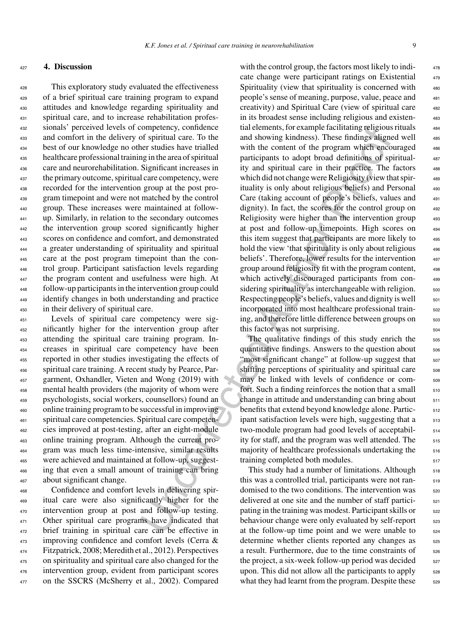#### **4. Discussion**

 This exploratory study evaluated the effectiveness of a brief spiritual care training program to expand attitudes and knowledge regarding spirituality and spiritual care, and to increase rehabilitation profes- sionals' perceived levels of competency, confidence and comfort in the delivery of spiritual care. To the best of our knowledge no other studies have trialled healthcare professional training in the area of spiritual care and neurorehabilitation. Significant increases in the primary outcome, spiritual care competency, were recorded for the intervention group at the post pro- gram timepoint and were not matched by the control group. These increases were maintained at follow- up. Similarly, in relation to the secondary outcomes the intervention group scored significantly higher scores on confidence and comfort, and demonstrated a greater understanding of spirituality and spiritual care at the post program timepoint than the con- trol group. Participant satisfaction levels regarding the program content and usefulness were high. At follow-up participants in the intervention group could identify changes in both understanding and practice in their delivery of spiritual care.

 Levels of spiritual care competency were sig- nificantly higher for the intervention group after attending the spiritual care training program. In- creases in spiritual care competency have been reported in other studies investigating the effects of spiritual care training. A recent study by Pearce, Par- garment, Oxhandler, Vieten and Wong (2019) with mental health providers (the majority of whom were psychologists, social workers, counsellors) found an online training program to be successful in improving spiritual care competencies. Spiritual care competen- cies improved at post-testing, after an eight-module online training program. Although the current pro- gram was much less time-intensive, similar results were achieved and maintained at follow-up, suggest- ing that even a small amount of training can bring about significant change.

 Confidence and comfort levels in delivering spir- itual care were also significantly higher for the intervention group at post and follow-up testing. Other spiritual care programs have indicated that brief training in spiritual care can be effective in improving confidence and comfort levels (Cerra & Fitzpatrick, 2008; Meredith et al., 2012). Perspectives on spirituality and spiritual care also changed for the intervention group, evident from participant scores on the SSCRS (McSherry et al., 2002). Compared

competency, conducted that elements, for example lactilicating religious<br>
in figure times and thowing kindness). These findings aligned with the content of the program which ener studied with the content of the program whi with the control group, the factors most likely to indicate change were participant ratings on Existential 479 Spirituality (view that spirituality is concerned with people's sense of meaning, purpose, value, peace and <sup>481</sup> creativity) and Spiritual Care (view of spiritual care in its broadest sense including religious and existen-<br>483 tial elements, for example facilitating religious rituals and showing kindness). These findings aligned well  $_{485}$ with the content of the program which encouraged 486 participants to adopt broad definitions of spiritual-<br>487 ity and spiritual care in their practice. The factors which did not change were Religiosity (view that spirituality is only about religious beliefs) and Personal <sup>490</sup> Care (taking account of people's beliefs, values and <sup>491</sup> dignity). In fact, the scores for the control group on Religiosity were higher than the intervention group 493 at post and follow-up timepoints. High scores on <sup>494</sup> this item suggest that participants are more likely to hold the view 'that spirituality is only about religious beliefs'. Therefore, lower results for the intervention group around religiosity fit with the program content, which actively discouraged participants from considering spirituality as interchangeable with religion. Respecting people's beliefs, values and dignity is well  $_{501}$ incorporated into most healthcare professional training, and therefore little difference between groups on this factor was not surprising.

The qualitative findings of this study enrich the 505 quantitative findings. Answers to the question about  $\qquad$  506 "most significant change" at follow-up suggest that 507 shifting perceptions of spirituality and spiritual care 508 may be linked with levels of confidence or comfort. Such a finding reinforces the notion that a small  $_{510}$ change in attitude and understanding can bring about benefits that extend beyond knowledge alone. Participant satisfaction levels were high, suggesting that a 513 two-module program had good levels of acceptabil-<br>514 ity for staff, and the program was well attended. The  $\frac{515}{215}$ majority of healthcare professionals undertaking the 516 training completed both modules.

This study had a number of limitations. Although this was a controlled trial, participants were not randomised to the two conditions. The intervention was delivered at one site and the number of staff participating in the training was modest. Participant skills or <sub>522</sub> behaviour change were only evaluated by self-report  $\qquad$  523 at the follow-up time point and we were unable to determine whether clients reported any changes as 525 a result. Furthermore, due to the time constraints of  $\qquad$  526 the project, a six-week follow-up period was decided upon. This did not allow all the participants to apply  $\frac{528}{2}$ what they had learnt from the program. Despite these  $\frac{528}{2}$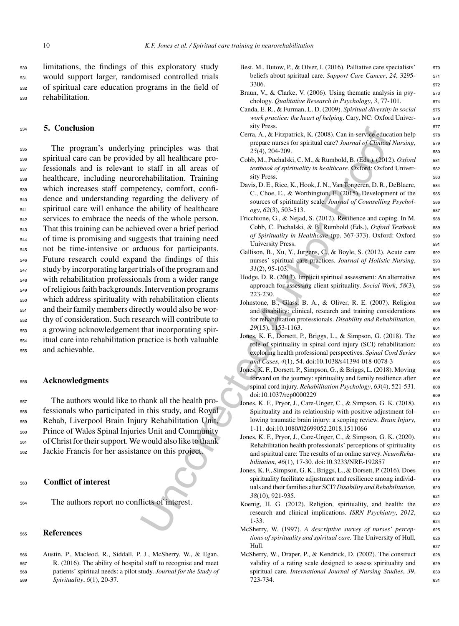limitations, the findings of this exploratory study would support larger, randomised controlled trials of spiritual care education programs in the field of rehabilitation.

#### <sup>534</sup> **5. Conclusion**

g principles was that<br>
scrn, A., & Fitepanick, K. (2008). Can in-service stand<br>  $\alpha$  by all healthcare pro-<br>  $Z(4)$ , Da-130). (A) and Healthcare pro-<br>  $Z(4)$ , A) and  $\alpha$  by the distribution in the standard of Colombal an The program's underlying principles was that spiritual care can be provided by all healthcare pro- fessionals and is relevant to staff in all areas of healthcare, including neurorehabilitation. Training which increases staff competency, comfort, confi- dence and understanding regarding the delivery of spiritual care will enhance the ability of healthcare services to embrace the needs of the whole person. That this training can be achieved over a brief period of time is promising and suggests that training need not be time-intensive or arduous for participants. Future research could expand the findings of this study by incorporating larger trials of the program and with rehabilitation professionals from a wider range of religious faith backgrounds. Intervention programs which address spirituality with rehabilitation clients and their family members directly would also be wor- thy of consideration. Such research will contribute to a growing acknowledgement that incorporating spir- itual care into rehabilitation practice is both valuable and achievable.

# <sup>556</sup> **Acknowledgments**

 The authors would like to thank all the health pro- fessionals who participated in this study, and Royal Rehab, Liverpool Brain Injury Rehabilitation Unit, Prince of Wales Spinal Injuries Unit and Community of Christ for their support. We would also like to thank Jackie Francis for her assistance on this project.

- <sup>563</sup> **Conflict of interest**
- <sup>564</sup> The authors report no conflicts of interest.

### <sup>565</sup> **References**

 Austin, P., Macleod, R., Siddall, P. J., McSherry, W., & Egan, R. (2016). The ability of hospital staff to recognise and meet patients' spiritual needs: a pilot study. *Journal for the Study of Spirituality*, *6*(1), 20-37.

- Best, M., Butow, P., & Olver, I. (2016). Palliative care specialists' 570 beliefs about spiritual care. *Support Care Cancer*, *24*, 3295- <sup>571</sup> 3306. 572
- Braun, V., & Clarke, V. (2006). Using thematic analysis in psychology. *Qualitative Research in Psychology*, *3*, 77-101. <sup>574</sup>
- Canda, E. R., & Furman, L. D. (2009). Spiritual diversity in social 575 *work practice: the heart of helping*. Cary, NC: Oxford Univer- 576 sity Press. 577
- Cerra, A., & Fitzpatrick, K. (2008). Can in-service education help 578 prepare nurses for spiritual care? *Journal of Clinical Nursing*, 579 *25*(4), 204-209. <sup>580</sup>
- Cobb, M., Puchalski, C. M., & Rumbold, B. (Eds.). (2012). *Oxford* <sup>581</sup> *textbook of spirituality in healthcare*. Oxford: Oxford Univer- <sup>582</sup> sity Press. 583
- Davis, D. E., Rice, K., Hook, J. N., Van Tongeren, D. R., DeBlaere, 584 C., Choe, E., & Worthington, E. (2015). Development of the 585 sources of spirituality scale. *Journal of Counselling Psychol-* 586 *ogy*, *62*(3), 503-513. 587
- Fricchione, G., & Nejad, S. (2012). Resilience and coping. In M. 588 Cobb, C. Puchalski, & B. Rumbold (Eds.), *Oxford Textbook* <sup>589</sup> *of Spirituality in Healthcare* (pp. 367-373). Oxford: Oxford 590 University Press. 591
- Gallison, B., Xu, Y., Jurgens, C., & Boyle, S. (2012). Acute care  $\qquad$  592 nurses' spiritual care practices. *Journal of Holistic Nursing*, <sup>593</sup> *31*(2), 95-103. <sup>594</sup>
- Hodge, D. R. (2013). Implicit spiritual assessment: An alternative 595 approach for assessing client spirituality. *Social Work*, 58(3), 596 223-230. <sup>597</sup>
- Johnstone, B., Glass, B. A., & Oliver, R. E. (2007). Religion 598 and disability: clinical, research and training considerations 599 for rehabilitation professionals. *Disability and Rehabilitation*, 600 29(15), 1153-1163. 601
- Jones, K. F., Dorsett, P., Briggs, L., & Simpson, G. (2018). The 602 role of spirituality in spinal cord injury (SCI) rehabilitation: 603 exploring health professional perspectives. *Spinal Cord Series* 604 *and Cases*, 4(1), 54. doi:10.1038/s41394-018-0078-3 605
- Jones, K. F., Dorsett, P., Simpson, G., & Briggs, L. (2018). Moving 606 forward on the journey: spirituality and family resilience after 607 spinal cord injury. *Rehabilitation Psychology*, 63(4), 521-531. 608 doi:10.1037/rep0000229 609
- Jones, K. F., Pryor, J., Care-Unger, C., & Simpson, G. K. (2018). 610 Spirituality and its relationship with positive adjustment fol-<br>611 lowing traumatic brain injury: a scoping review. *Brain Injury*, 612 1-11. doi:10.1080/02699052.2018.1511066 613
- Jones, K. F., Pryor, J., Care-Unger, C., & Simpson, G. K. (2020). <sup>614</sup> Rehabilitation health professionals' perceptions of spirituality 615 and spiritual care: The results of an online survey. *NeuroReha-* <sup>616</sup> *bilitation*, 46(1), 17-30. doi:10.3233/NRE-192857 617
- Jones, K. F., Simpson, G. K., Briggs, L., & Dorsett, P. (2016). Does 618 spirituality facilitate adjustment and resilience among individinteractional uals and their families after SCI? *Disability and Rehabilitation*, 620 *38*(10), 921-935. <sup>621</sup>
- Koenig, H. G. (2012). Religion, spirituality, and health: the 622 research and clinical implications. *ISRN Psychiatry*, *2012*, <sup>623</sup> 1-33. <sup>624</sup>
- McSherry, W. (1997). *A descriptive survey of nurses' percep-* <sup>625</sup> tions of spirituality and spiritual care. The University of Hull, 626 Hull. 627
- McSherry, W., Draper, P., & Kendrick, D. (2002). The construct 628 validity of a rating scale designed to assess spirituality and 629 spiritual care. *International Journal of Nursing Studies*, 39, 630 723-734. <sup>631</sup>